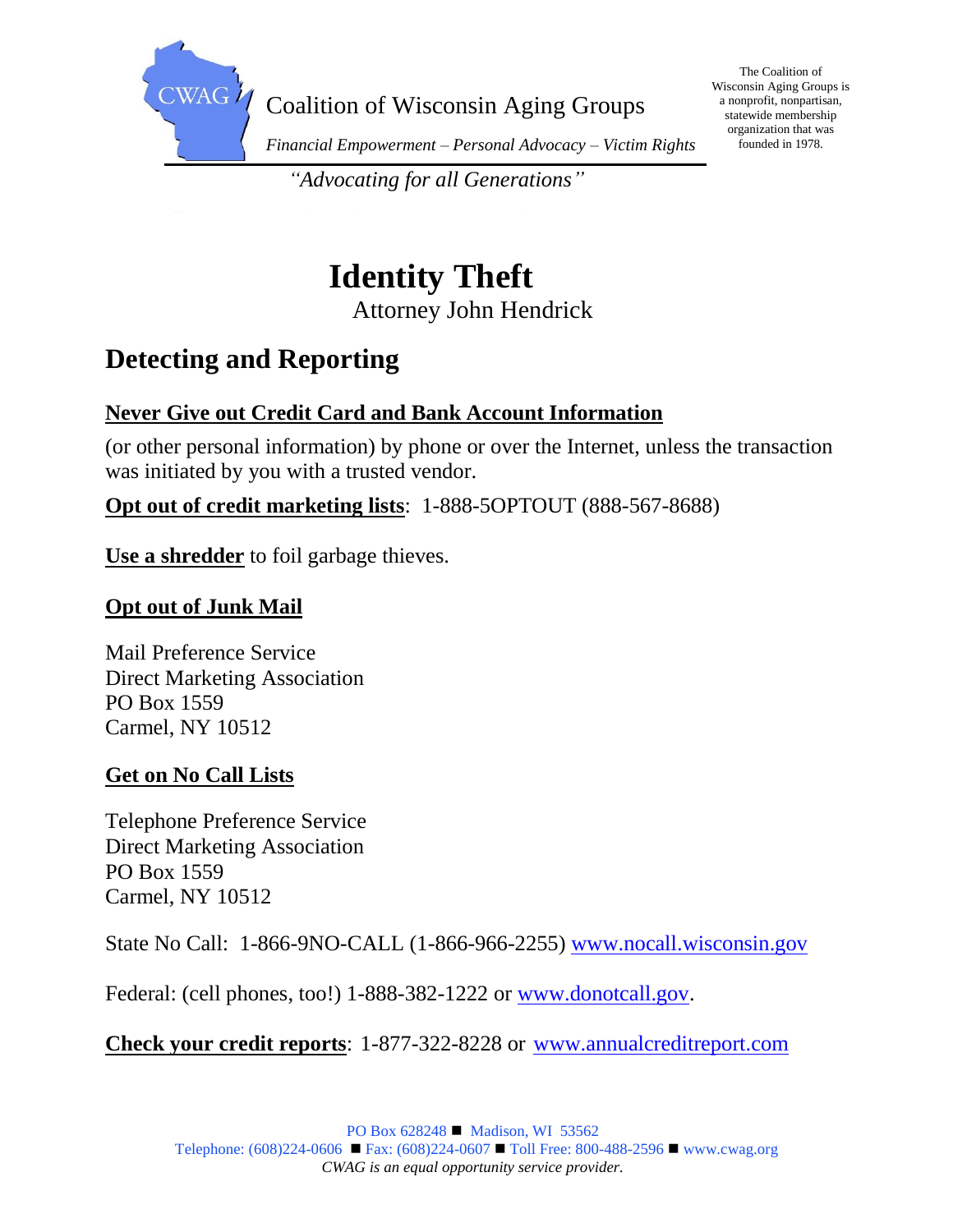

The Coalition of Wisconsin Aging Groups is a nonprofit, nonpartisan, statewide membership organization that was founded in 1978.

*"Advocating for all Generations"*

# **Identity Theft** Attorney John Hendrick

# **Detecting and Reporting**

### **Never Give out Credit Card and Bank Account Information**

(or other personal information) by phone or over the Internet, unless the transaction was initiated by you with a trusted vendor.

#### **Opt out of credit marketing lists**: 1-888-5OPTOUT (888-567-8688)

**Use a shredder** to foil garbage thieves.

#### **Opt out of Junk Mail**

Mail Preference Service Direct Marketing Association PO Box 1559 Carmel, NY 10512

#### **Get on No Call Lists**

Telephone Preference Service Direct Marketing Association PO Box 1559 Carmel, NY 10512

State No Call: 1-866-9NO-CALL (1-866-966-2255) [www.nocall.wisconsin.gov](http://www.nocall.wisconsin.gov/)

Federal: (cell phones, too!) 1-888-382-1222 or [www.donotcall.gov.](http://www.donotcall.gov/)

**Check your credit reports**: 1-877-322-8228 or [www.annualcreditreport.com](http://www.annualcreditreport.com/)